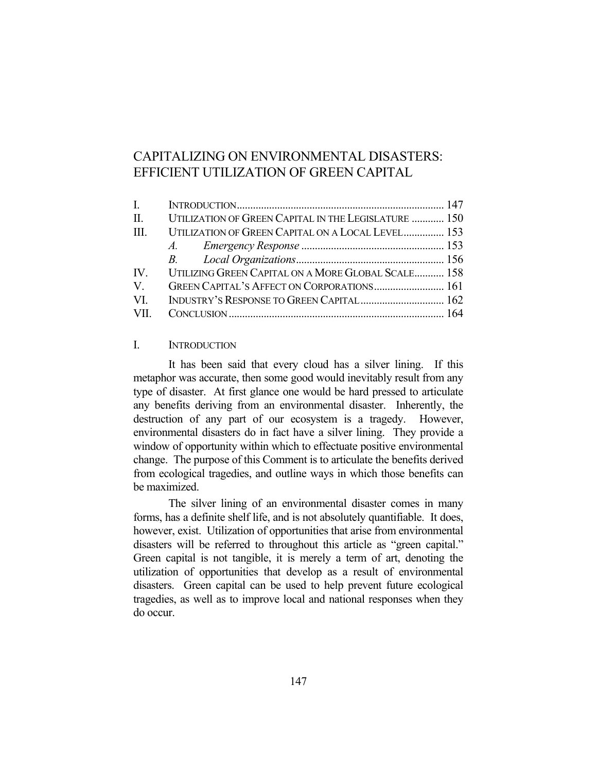# CAPITALIZING ON ENVIRONMENTAL DISASTERS: EFFICIENT UTILIZATION OF GREEN CAPITAL

| $\mathbf{L}$ |                                                          |  |
|--------------|----------------------------------------------------------|--|
|              | II. UTILIZATION OF GREEN CAPITAL IN THE LEGISLATURE  150 |  |
| $\mathbf{H}$ | UTILIZATION OF GREEN CAPITAL ON A LOCAL LEVEL 153        |  |
|              |                                                          |  |
|              |                                                          |  |
|              | IV. UTILIZING GREEN CAPITAL ON A MORE GLOBAL SCALE 158   |  |
| V.           | GREEN CAPITAL'S AFFECT ON CORPORATIONS 161               |  |
| VI.          | INDUSTRY'S RESPONSE TO GREEN CAPITAL 162                 |  |
|              |                                                          |  |

## I. INTRODUCTION

 It has been said that every cloud has a silver lining. If this metaphor was accurate, then some good would inevitably result from any type of disaster. At first glance one would be hard pressed to articulate any benefits deriving from an environmental disaster. Inherently, the destruction of any part of our ecosystem is a tragedy. However, environmental disasters do in fact have a silver lining. They provide a window of opportunity within which to effectuate positive environmental change. The purpose of this Comment is to articulate the benefits derived from ecological tragedies, and outline ways in which those benefits can be maximized.

 The silver lining of an environmental disaster comes in many forms, has a definite shelf life, and is not absolutely quantifiable. It does, however, exist. Utilization of opportunities that arise from environmental disasters will be referred to throughout this article as "green capital." Green capital is not tangible, it is merely a term of art, denoting the utilization of opportunities that develop as a result of environmental disasters. Green capital can be used to help prevent future ecological tragedies, as well as to improve local and national responses when they do occur.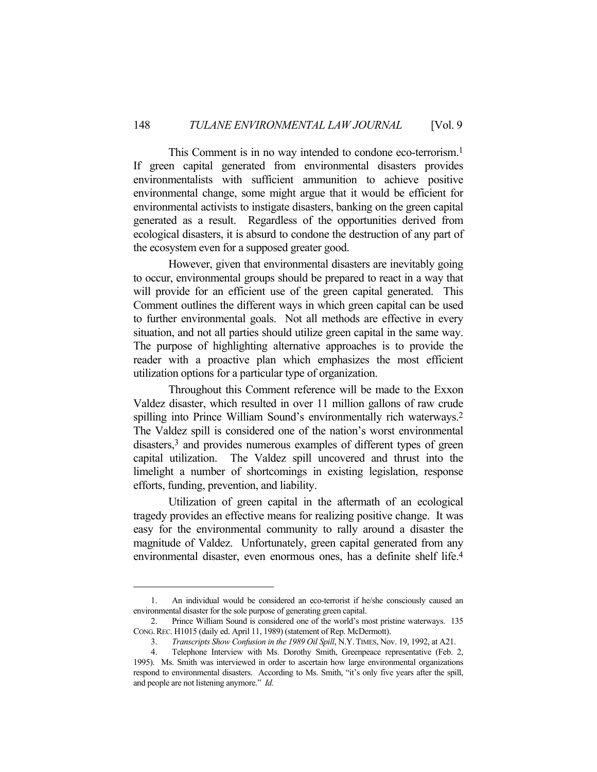This Comment is in no way intended to condone eco-terrorism.<sup>1</sup> If green capital generated from environmental disasters provides environmentalists with sufficient ammunition to achieve positive environmental change, some might argue that it would be efficient for environmental activists to instigate disasters, banking on the green capital generated as a result. Regardless of the opportunities derived from ecological disasters, it is absurd to condone the destruction of any part of the ecosystem even for a supposed greater good.

 However, given that environmental disasters are inevitably going to occur, environmental groups should be prepared to react in a way that will provide for an efficient use of the green capital generated. This Comment outlines the different ways in which green capital can be used to further environmental goals. Not all methods are effective in every situation, and not all parties should utilize green capital in the same way. The purpose of highlighting alternative approaches is to provide the reader with a proactive plan which emphasizes the most efficient utilization options for a particular type of organization.

 Throughout this Comment reference will be made to the Exxon Valdez disaster, which resulted in over 11 million gallons of raw crude spilling into Prince William Sound's environmentally rich waterways.<sup>2</sup> The Valdez spill is considered one of the nation's worst environmental disasters,3 and provides numerous examples of different types of green capital utilization. The Valdez spill uncovered and thrust into the limelight a number of shortcomings in existing legislation, response efforts, funding, prevention, and liability.

 Utilization of green capital in the aftermath of an ecological tragedy provides an effective means for realizing positive change. It was easy for the environmental community to rally around a disaster the magnitude of Valdez. Unfortunately, green capital generated from any environmental disaster, even enormous ones, has a definite shelf life.4

 <sup>1.</sup> An individual would be considered an eco-terrorist if he/she consciously caused an environmental disaster for the sole purpose of generating green capital.

 <sup>2.</sup> Prince William Sound is considered one of the world's most pristine waterways. 135 CONG.REC. H1015 (daily ed. April 11, 1989) (statement of Rep. McDermott).

 <sup>3.</sup> *Transcripts Show Confusion in the 1989 Oil Spill*, N.Y.TIMES, Nov. 19, 1992, at A21.

 <sup>4.</sup> Telephone Interview with Ms. Dorothy Smith, Greenpeace representative (Feb. 2, 1995). Ms. Smith was interviewed in order to ascertain how large environmental organizations respond to environmental disasters. According to Ms. Smith, "it's only five years after the spill, and people are not listening anymore." *Id.*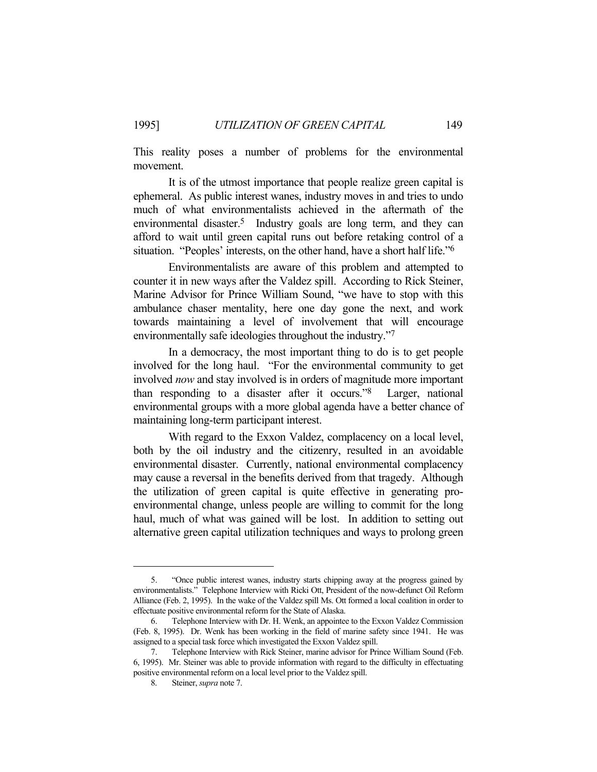This reality poses a number of problems for the environmental movement.

 It is of the utmost importance that people realize green capital is ephemeral. As public interest wanes, industry moves in and tries to undo much of what environmentalists achieved in the aftermath of the environmental disaster.<sup>5</sup> Industry goals are long term, and they can afford to wait until green capital runs out before retaking control of a situation. "Peoples' interests, on the other hand, have a short half life."6

 Environmentalists are aware of this problem and attempted to counter it in new ways after the Valdez spill. According to Rick Steiner, Marine Advisor for Prince William Sound, "we have to stop with this ambulance chaser mentality, here one day gone the next, and work towards maintaining a level of involvement that will encourage environmentally safe ideologies throughout the industry."7

 In a democracy, the most important thing to do is to get people involved for the long haul. "For the environmental community to get involved *now* and stay involved is in orders of magnitude more important than responding to a disaster after it occurs."8 Larger, national environmental groups with a more global agenda have a better chance of maintaining long-term participant interest.

 With regard to the Exxon Valdez, complacency on a local level, both by the oil industry and the citizenry, resulted in an avoidable environmental disaster. Currently, national environmental complacency may cause a reversal in the benefits derived from that tragedy. Although the utilization of green capital is quite effective in generating proenvironmental change, unless people are willing to commit for the long haul, much of what was gained will be lost. In addition to setting out alternative green capital utilization techniques and ways to prolong green

 <sup>5. &</sup>quot;Once public interest wanes, industry starts chipping away at the progress gained by environmentalists." Telephone Interview with Ricki Ott, President of the now-defunct Oil Reform Alliance (Feb. 2, 1995). In the wake of the Valdez spill Ms. Ott formed a local coalition in order to effectuate positive environmental reform for the State of Alaska.

 <sup>6.</sup> Telephone Interview with Dr. H. Wenk, an appointee to the Exxon Valdez Commission (Feb. 8, 1995). Dr. Wenk has been working in the field of marine safety since 1941. He was assigned to a special task force which investigated the Exxon Valdez spill.

 <sup>7.</sup> Telephone Interview with Rick Steiner, marine advisor for Prince William Sound (Feb. 6, 1995). Mr. Steiner was able to provide information with regard to the difficulty in effectuating positive environmental reform on a local level prior to the Valdez spill.

 <sup>8.</sup> Steiner, *supra* note 7.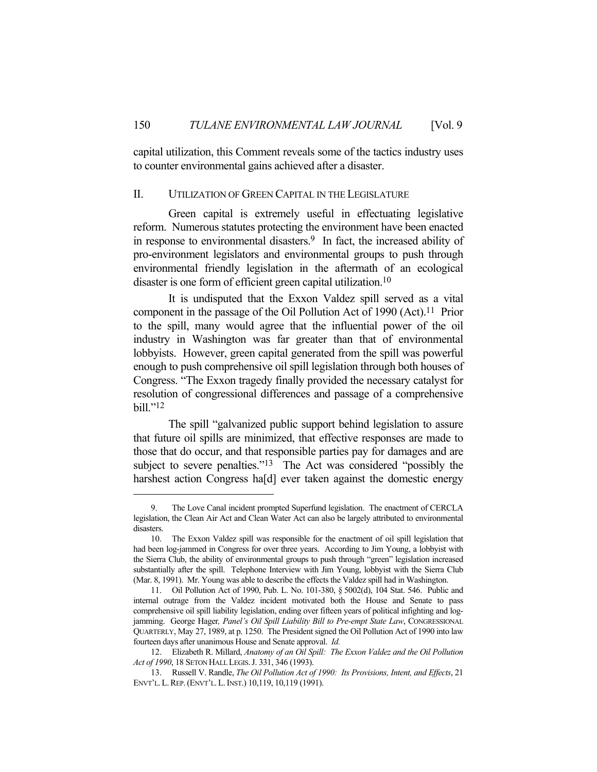capital utilization, this Comment reveals some of the tactics industry uses to counter environmental gains achieved after a disaster.

#### II. UTILIZATION OF GREEN CAPITAL IN THE LEGISLATURE

 Green capital is extremely useful in effectuating legislative reform. Numerous statutes protecting the environment have been enacted in response to environmental disasters.9 In fact, the increased ability of pro-environment legislators and environmental groups to push through environmental friendly legislation in the aftermath of an ecological disaster is one form of efficient green capital utilization.<sup>10</sup>

 It is undisputed that the Exxon Valdez spill served as a vital component in the passage of the Oil Pollution Act of 1990 (Act). 11 Prior to the spill, many would agree that the influential power of the oil industry in Washington was far greater than that of environmental lobbyists. However, green capital generated from the spill was powerful enough to push comprehensive oil spill legislation through both houses of Congress. "The Exxon tragedy finally provided the necessary catalyst for resolution of congressional differences and passage of a comprehensive bill."12

 The spill "galvanized public support behind legislation to assure that future oil spills are minimized, that effective responses are made to those that do occur, and that responsible parties pay for damages and are subject to severe penalties."<sup>13</sup> The Act was considered "possibly the harshest action Congress ha[d] ever taken against the domestic energy

The Love Canal incident prompted Superfund legislation. The enactment of CERCLA legislation, the Clean Air Act and Clean Water Act can also be largely attributed to environmental disasters.

 <sup>10.</sup> The Exxon Valdez spill was responsible for the enactment of oil spill legislation that had been log-jammed in Congress for over three years. According to Jim Young, a lobbyist with the Sierra Club, the ability of environmental groups to push through "green" legislation increased substantially after the spill. Telephone Interview with Jim Young, lobbyist with the Sierra Club (Mar. 8, 1991). Mr. Young was able to describe the effects the Valdez spill had in Washington.

 <sup>11.</sup> Oil Pollution Act of 1990, Pub. L. No. 101-380, § 5002(d), 104 Stat. 546. Public and internal outrage from the Valdez incident motivated both the House and Senate to pass comprehensive oil spill liability legislation, ending over fifteen years of political infighting and logjamming. George Hager*, Panel's Oil Spill Liability Bill to Pre-empt State Law*, CONGRESSIONAL QUARTERLY, May 27, 1989, at p. 1250. The President signed the Oil Pollution Act of 1990 into law fourteen days after unanimous House and Senate approval. *Id.*

 <sup>12.</sup> Elizabeth R. Millard, *Anatomy of an Oil Spill: The Exxon Valdez and the Oil Pollution Act of 1990*, 18 SETON HALL LEGIS.J. 331, 346 (1993).

 <sup>13.</sup> Russell V. Randle, *The Oil Pollution Act of 1990: Its Provisions, Intent, and Effects*, 21 ENVT'L.L.REP.(ENVT'L.L.INST.) 10,119, 10,119 (1991).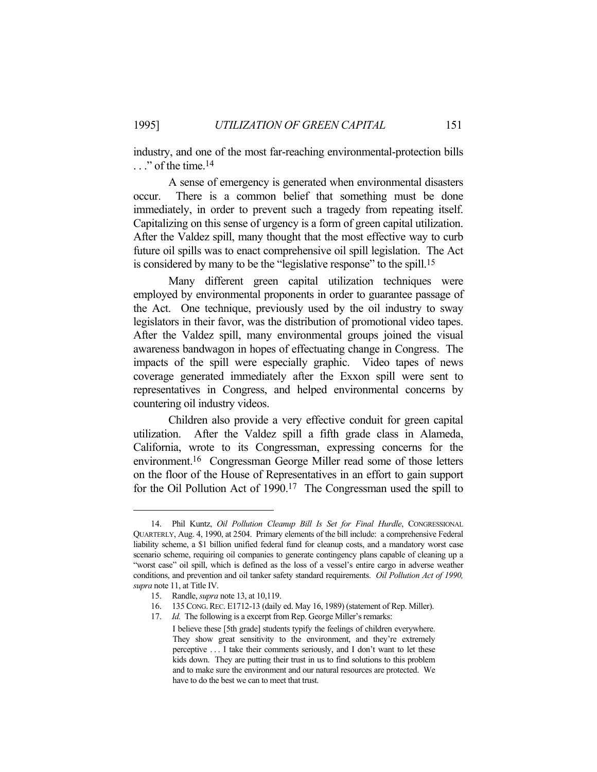industry, and one of the most far-reaching environmental-protection bills  $\ldots$ " of the time.<sup>14</sup>

 A sense of emergency is generated when environmental disasters occur. There is a common belief that something must be done immediately, in order to prevent such a tragedy from repeating itself. Capitalizing on this sense of urgency is a form of green capital utilization. After the Valdez spill, many thought that the most effective way to curb future oil spills was to enact comprehensive oil spill legislation. The Act is considered by many to be the "legislative response" to the spill.15

 Many different green capital utilization techniques were employed by environmental proponents in order to guarantee passage of the Act. One technique, previously used by the oil industry to sway legislators in their favor, was the distribution of promotional video tapes. After the Valdez spill, many environmental groups joined the visual awareness bandwagon in hopes of effectuating change in Congress. The impacts of the spill were especially graphic. Video tapes of news coverage generated immediately after the Exxon spill were sent to representatives in Congress, and helped environmental concerns by countering oil industry videos.

 Children also provide a very effective conduit for green capital utilization. After the Valdez spill a fifth grade class in Alameda, California, wrote to its Congressman, expressing concerns for the environment.16 Congressman George Miller read some of those letters on the floor of the House of Representatives in an effort to gain support for the Oil Pollution Act of 1990.17 The Congressman used the spill to

 <sup>14.</sup> Phil Kuntz, *Oil Pollution Cleanup Bill Is Set for Final Hurdle*, CONGRESSIONAL QUARTERLY, Aug. 4, 1990, at 2504. Primary elements of the bill include: a comprehensive Federal liability scheme, a \$1 billion unified federal fund for cleanup costs, and a mandatory worst case scenario scheme, requiring oil companies to generate contingency plans capable of cleaning up a "worst case" oil spill, which is defined as the loss of a vessel's entire cargo in adverse weather conditions, and prevention and oil tanker safety standard requirements. *Oil Pollution Act of 1990, supra* note 11, at Title IV.

 <sup>15.</sup> Randle, *supra* note 13, at 10,119.

 <sup>16. 135</sup> CONG.REC. E1712-13 (daily ed. May 16, 1989) (statement of Rep. Miller).

 <sup>17.</sup> *Id.* The following is a excerpt from Rep. George Miller's remarks:

I believe these [5th grade] students typify the feelings of children everywhere. They show great sensitivity to the environment, and they're extremely perceptive . . . I take their comments seriously, and I don't want to let these kids down. They are putting their trust in us to find solutions to this problem and to make sure the environment and our natural resources are protected. We have to do the best we can to meet that trust.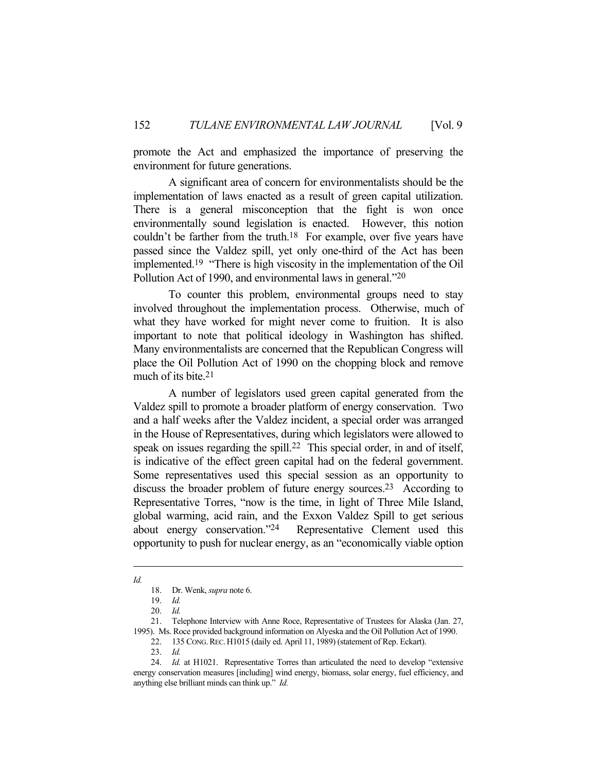promote the Act and emphasized the importance of preserving the environment for future generations.

 A significant area of concern for environmentalists should be the implementation of laws enacted as a result of green capital utilization. There is a general misconception that the fight is won once environmentally sound legislation is enacted. However, this notion couldn't be farther from the truth.<sup>18</sup> For example, over five years have passed since the Valdez spill, yet only one-third of the Act has been implemented.19 "There is high viscosity in the implementation of the Oil Pollution Act of 1990, and environmental laws in general."20

 To counter this problem, environmental groups need to stay involved throughout the implementation process. Otherwise, much of what they have worked for might never come to fruition. It is also important to note that political ideology in Washington has shifted. Many environmentalists are concerned that the Republican Congress will place the Oil Pollution Act of 1990 on the chopping block and remove much of its bite.21

 A number of legislators used green capital generated from the Valdez spill to promote a broader platform of energy conservation. Two and a half weeks after the Valdez incident, a special order was arranged in the House of Representatives, during which legislators were allowed to speak on issues regarding the spill.<sup>22</sup> This special order, in and of itself, is indicative of the effect green capital had on the federal government. Some representatives used this special session as an opportunity to discuss the broader problem of future energy sources.<sup>23</sup> According to Representative Torres, "now is the time, in light of Three Mile Island, global warming, acid rain, and the Exxon Valdez Spill to get serious about energy conservation."24 Representative Clement used this opportunity to push for nuclear energy, as an "economically viable option

*Id.*

 <sup>18.</sup> Dr. Wenk, *supra* note 6.

 <sup>19.</sup> *Id.*

 <sup>20.</sup> *Id.*

 <sup>21.</sup> Telephone Interview with Anne Roce, Representative of Trustees for Alaska (Jan. 27, 1995). Ms. Roce provided background information on Alyeska and the Oil Pollution Act of 1990.

 <sup>22. 135</sup> CONG.REC.H1015 (daily ed. April 11, 1989) (statement of Rep. Eckart).

 <sup>23.</sup> *Id.*

 <sup>24.</sup> *Id.* at H1021. Representative Torres than articulated the need to develop "extensive energy conservation measures [including] wind energy, biomass, solar energy, fuel efficiency, and anything else brilliant minds can think up." *Id.*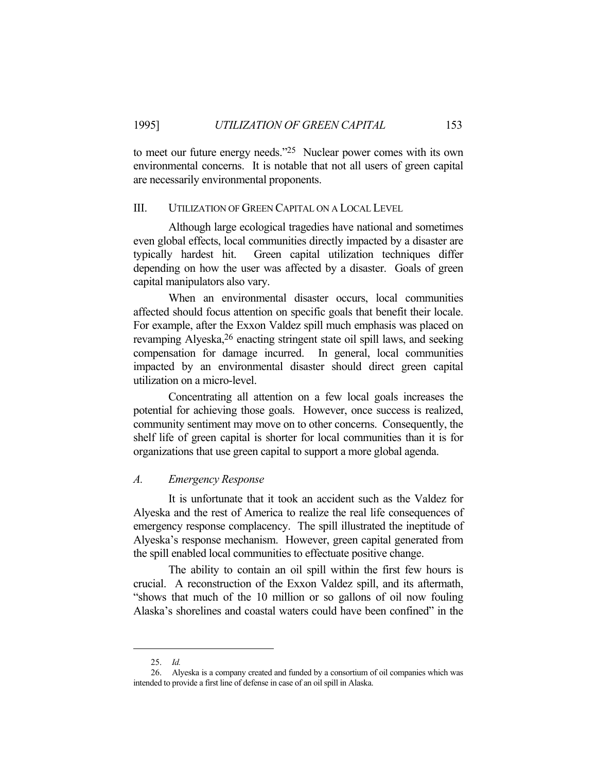to meet our future energy needs."25 Nuclear power comes with its own environmental concerns. It is notable that not all users of green capital are necessarily environmental proponents.

## III. UTILIZATION OF GREEN CAPITAL ON A LOCAL LEVEL

 Although large ecological tragedies have national and sometimes even global effects, local communities directly impacted by a disaster are typically hardest hit. Green capital utilization techniques differ depending on how the user was affected by a disaster. Goals of green capital manipulators also vary.

 When an environmental disaster occurs, local communities affected should focus attention on specific goals that benefit their locale. For example, after the Exxon Valdez spill much emphasis was placed on revamping Alyeska,<sup>26</sup> enacting stringent state oil spill laws, and seeking compensation for damage incurred. In general, local communities impacted by an environmental disaster should direct green capital utilization on a micro-level.

 Concentrating all attention on a few local goals increases the potential for achieving those goals. However, once success is realized, community sentiment may move on to other concerns. Consequently, the shelf life of green capital is shorter for local communities than it is for organizations that use green capital to support a more global agenda.

## *A. Emergency Response*

 It is unfortunate that it took an accident such as the Valdez for Alyeska and the rest of America to realize the real life consequences of emergency response complacency. The spill illustrated the ineptitude of Alyeska's response mechanism. However, green capital generated from the spill enabled local communities to effectuate positive change.

 The ability to contain an oil spill within the first few hours is crucial. A reconstruction of the Exxon Valdez spill, and its aftermath, "shows that much of the 10 million or so gallons of oil now fouling Alaska's shorelines and coastal waters could have been confined" in the

 <sup>25.</sup> *Id.*

 <sup>26.</sup> Alyeska is a company created and funded by a consortium of oil companies which was intended to provide a first line of defense in case of an oil spill in Alaska.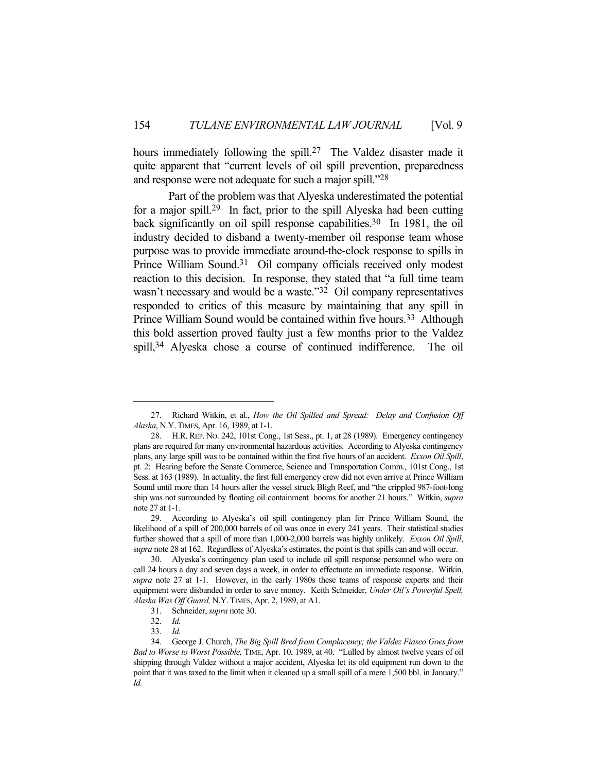hours immediately following the spill.<sup>27</sup> The Valdez disaster made it quite apparent that "current levels of oil spill prevention, preparedness and response were not adequate for such a major spill."28

 Part of the problem was that Alyeska underestimated the potential for a major spill.29 In fact, prior to the spill Alyeska had been cutting back significantly on oil spill response capabilities.<sup>30</sup> In 1981, the oil industry decided to disband a twenty-member oil response team whose purpose was to provide immediate around-the-clock response to spills in Prince William Sound.<sup>31</sup> Oil company officials received only modest reaction to this decision. In response, they stated that "a full time team wasn't necessary and would be a waste."<sup>32</sup> Oil company representatives responded to critics of this measure by maintaining that any spill in Prince William Sound would be contained within five hours.<sup>33</sup> Although this bold assertion proved faulty just a few months prior to the Valdez spill,34 Alyeska chose a course of continued indifference. The oil

 <sup>27.</sup> Richard Witkin, et al., *How the Oil Spilled and Spread: Delay and Confusion Off Alaska*, N.Y.TIMES, Apr. 16, 1989, at 1-1.

 <sup>28.</sup> H.R. REP. NO. 242, 101st Cong., 1st Sess., pt. 1, at 28 (1989). Emergency contingency plans are required for many environmental hazardous activities. According to Alyeska contingency plans, any large spill was to be contained within the first five hours of an accident. *Exxon Oil Spill*, pt. 2: Hearing before the Senate Commerce, Science and Transportation Comm., 101st Cong., 1st Sess. at 163 (1989). In actuality, the first full emergency crew did not even arrive at Prince William Sound until more than 14 hours after the vessel struck Bligh Reef, and "the crippled 987-foot-long ship was not surrounded by floating oil containment booms for another 21 hours." Witkin, *supra* note 27 at 1-1.

 <sup>29.</sup> According to Alyeska's oil spill contingency plan for Prince William Sound, the likelihood of a spill of 200,000 barrels of oil was once in every 241 years. Their statistical studies further showed that a spill of more than 1,000-2,000 barrels was highly unlikely. *Exxon Oil Spill*, s*upra* note 28 at 162. Regardless of Alyeska's estimates, the point is that spills can and will occur.

 <sup>30.</sup> Alyeska's contingency plan used to include oil spill response personnel who were on call 24 hours a day and seven days a week, in order to effectuate an immediate response. Witkin, *supra* note 27 at 1-1. However, in the early 1980s these teams of response experts and their equipment were disbanded in order to save money. Keith Schneider, *Under Oil's Powerful Spell, Alaska Was Off Guard,* N.Y.TIMES, Apr. 2, 1989, at A1.

 <sup>31.</sup> Schneider, *supra* note 30.

 <sup>32.</sup> *Id.*

 <sup>33.</sup> *Id.*

 <sup>34.</sup> George J. Church, *The Big Spill Bred from Complacency; the Valdez Fiasco Goes from Bad to Worse to Worst Possible,* TIME, Apr. 10, 1989, at 40. "Lulled by almost twelve years of oil shipping through Valdez without a major accident, Alyeska let its old equipment run down to the point that it was taxed to the limit when it cleaned up a small spill of a mere 1,500 bbl. in January." *Id.*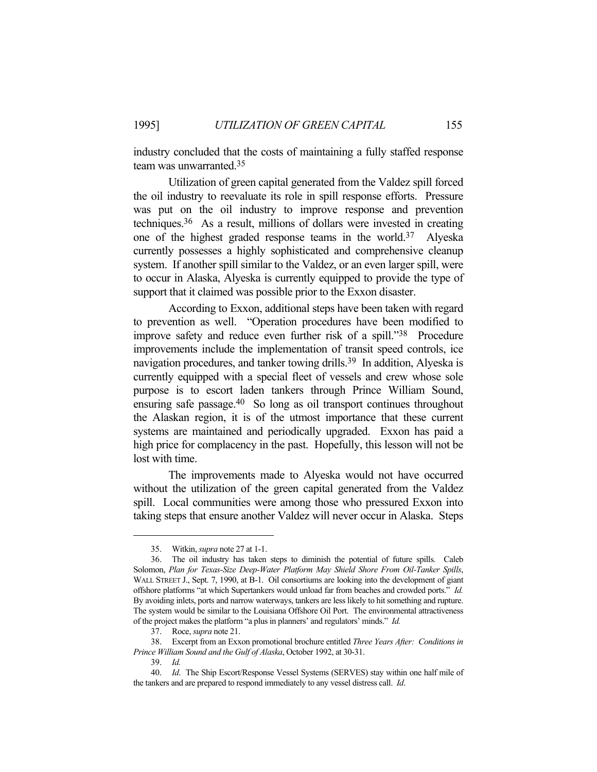industry concluded that the costs of maintaining a fully staffed response team was unwarranted.35

 Utilization of green capital generated from the Valdez spill forced the oil industry to reevaluate its role in spill response efforts. Pressure was put on the oil industry to improve response and prevention techniques.36 As a result, millions of dollars were invested in creating one of the highest graded response teams in the world.37 Alyeska currently possesses a highly sophisticated and comprehensive cleanup system. If another spill similar to the Valdez, or an even larger spill, were to occur in Alaska, Alyeska is currently equipped to provide the type of support that it claimed was possible prior to the Exxon disaster.

 According to Exxon, additional steps have been taken with regard to prevention as well. "Operation procedures have been modified to improve safety and reduce even further risk of a spill."38 Procedure improvements include the implementation of transit speed controls, ice navigation procedures, and tanker towing drills.39 In addition, Alyeska is currently equipped with a special fleet of vessels and crew whose sole purpose is to escort laden tankers through Prince William Sound, ensuring safe passage.40 So long as oil transport continues throughout the Alaskan region, it is of the utmost importance that these current systems are maintained and periodically upgraded. Exxon has paid a high price for complacency in the past. Hopefully, this lesson will not be lost with time.

 The improvements made to Alyeska would not have occurred without the utilization of the green capital generated from the Valdez spill. Local communities were among those who pressured Exxon into taking steps that ensure another Valdez will never occur in Alaska. Steps

 <sup>35.</sup> Witkin, *supra* note 27 at 1-1.

 <sup>36.</sup> The oil industry has taken steps to diminish the potential of future spills. Caleb Solomon, *Plan for Texas-Size Deep-Water Platform May Shield Shore From Oil-Tanker Spills*, WALL STREET J., Sept. 7, 1990, at B-1. Oil consortiums are looking into the development of giant offshore platforms "at which Supertankers would unload far from beaches and crowded ports." *Id.* By avoiding inlets, ports and narrow waterways, tankers are less likely to hit something and rupture. The system would be similar to the Louisiana Offshore Oil Port. The environmental attractiveness of the project makes the platform "a plus in planners' and regulators' minds." *Id.*

 <sup>37.</sup> Roce, *supra* note 21.

 <sup>38.</sup> Excerpt from an Exxon promotional brochure entitled *Three Years After: Conditions in Prince William Sound and the Gulf of Alaska*, October 1992, at 30-31.

 <sup>39.</sup> *Id.*

 <sup>40.</sup> *Id*. The Ship Escort/Response Vessel Systems (SERVES) stay within one half mile of the tankers and are prepared to respond immediately to any vessel distress call. *Id*.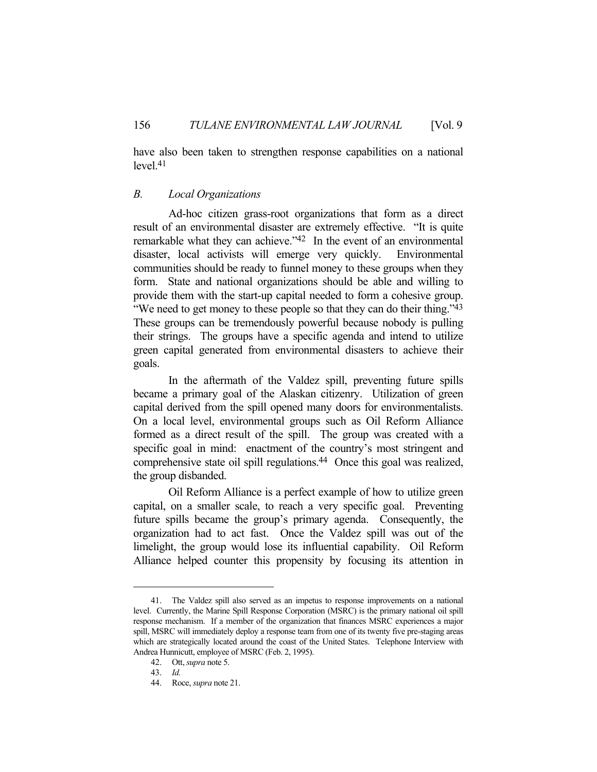have also been taken to strengthen response capabilities on a national  $level<sub>1</sub>41$ 

## *B. Local Organizations*

 Ad-hoc citizen grass-root organizations that form as a direct result of an environmental disaster are extremely effective. "It is quite remarkable what they can achieve."<sup>42</sup> In the event of an environmental disaster, local activists will emerge very quickly. Environmental communities should be ready to funnel money to these groups when they form. State and national organizations should be able and willing to provide them with the start-up capital needed to form a cohesive group. "We need to get money to these people so that they can do their thing."<sup>43</sup> These groups can be tremendously powerful because nobody is pulling their strings. The groups have a specific agenda and intend to utilize green capital generated from environmental disasters to achieve their goals.

 In the aftermath of the Valdez spill, preventing future spills became a primary goal of the Alaskan citizenry. Utilization of green capital derived from the spill opened many doors for environmentalists. On a local level, environmental groups such as Oil Reform Alliance formed as a direct result of the spill. The group was created with a specific goal in mind: enactment of the country's most stringent and comprehensive state oil spill regulations.44 Once this goal was realized, the group disbanded.

 Oil Reform Alliance is a perfect example of how to utilize green capital, on a smaller scale, to reach a very specific goal. Preventing future spills became the group's primary agenda. Consequently, the organization had to act fast. Once the Valdez spill was out of the limelight, the group would lose its influential capability. Oil Reform Alliance helped counter this propensity by focusing its attention in

 <sup>41.</sup> The Valdez spill also served as an impetus to response improvements on a national level. Currently, the Marine Spill Response Corporation (MSRC) is the primary national oil spill response mechanism. If a member of the organization that finances MSRC experiences a major spill, MSRC will immediately deploy a response team from one of its twenty five pre-staging areas which are strategically located around the coast of the United States. Telephone Interview with Andrea Hunnicutt, employee of MSRC (Feb. 2, 1995).

 <sup>42.</sup> Ott, *supra* note 5.

 <sup>43.</sup> *Id.*

 <sup>44.</sup> Roce, *supra* note 21.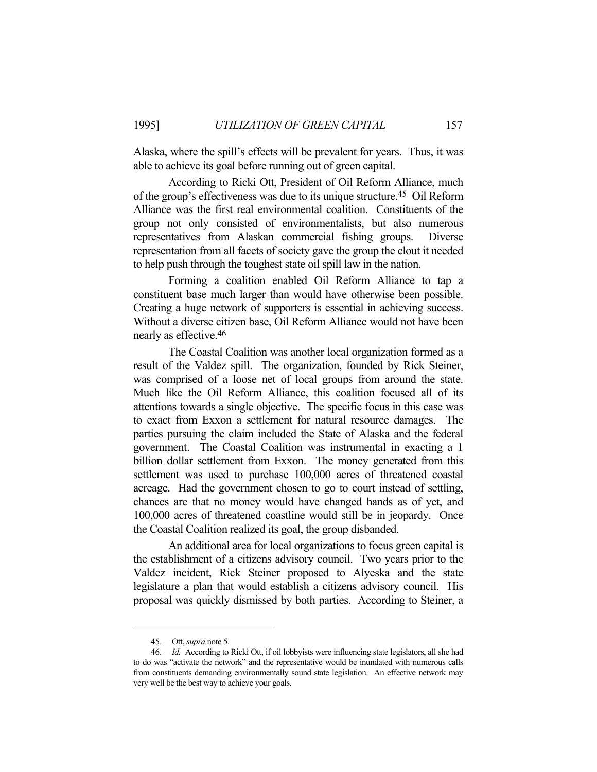Alaska, where the spill's effects will be prevalent for years. Thus, it was able to achieve its goal before running out of green capital.

 According to Ricki Ott, President of Oil Reform Alliance, much of the group's effectiveness was due to its unique structure.45 Oil Reform Alliance was the first real environmental coalition. Constituents of the group not only consisted of environmentalists, but also numerous representatives from Alaskan commercial fishing groups. Diverse representation from all facets of society gave the group the clout it needed to help push through the toughest state oil spill law in the nation.

 Forming a coalition enabled Oil Reform Alliance to tap a constituent base much larger than would have otherwise been possible. Creating a huge network of supporters is essential in achieving success. Without a diverse citizen base, Oil Reform Alliance would not have been nearly as effective.46

 The Coastal Coalition was another local organization formed as a result of the Valdez spill. The organization, founded by Rick Steiner, was comprised of a loose net of local groups from around the state. Much like the Oil Reform Alliance, this coalition focused all of its attentions towards a single objective. The specific focus in this case was to exact from Exxon a settlement for natural resource damages. The parties pursuing the claim included the State of Alaska and the federal government. The Coastal Coalition was instrumental in exacting a 1 billion dollar settlement from Exxon. The money generated from this settlement was used to purchase 100,000 acres of threatened coastal acreage. Had the government chosen to go to court instead of settling, chances are that no money would have changed hands as of yet, and 100,000 acres of threatened coastline would still be in jeopardy. Once the Coastal Coalition realized its goal, the group disbanded.

 An additional area for local organizations to focus green capital is the establishment of a citizens advisory council. Two years prior to the Valdez incident, Rick Steiner proposed to Alyeska and the state legislature a plan that would establish a citizens advisory council. His proposal was quickly dismissed by both parties. According to Steiner, a

 <sup>45.</sup> Ott, *supra* note 5.

 <sup>46.</sup> *Id.* According to Ricki Ott, if oil lobbyists were influencing state legislators, all she had to do was "activate the network" and the representative would be inundated with numerous calls from constituents demanding environmentally sound state legislation. An effective network may very well be the best way to achieve your goals.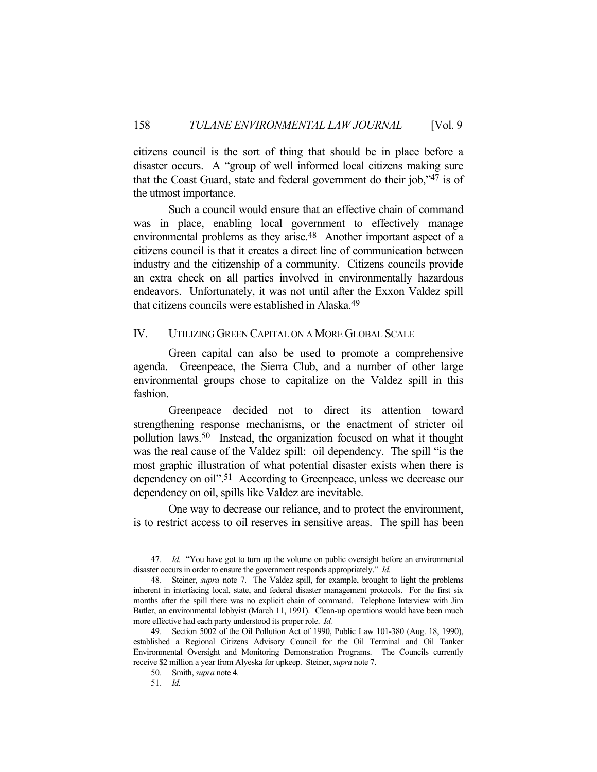citizens council is the sort of thing that should be in place before a disaster occurs. A "group of well informed local citizens making sure that the Coast Guard, state and federal government do their job,"47 is of the utmost importance.

 Such a council would ensure that an effective chain of command was in place, enabling local government to effectively manage environmental problems as they arise.48 Another important aspect of a citizens council is that it creates a direct line of communication between industry and the citizenship of a community. Citizens councils provide an extra check on all parties involved in environmentally hazardous endeavors. Unfortunately, it was not until after the Exxon Valdez spill that citizens councils were established in Alaska.49

## IV. UTILIZING GREEN CAPITAL ON A MORE GLOBAL SCALE

 Green capital can also be used to promote a comprehensive agenda. Greenpeace, the Sierra Club, and a number of other large environmental groups chose to capitalize on the Valdez spill in this fashion.

 Greenpeace decided not to direct its attention toward strengthening response mechanisms, or the enactment of stricter oil pollution laws.50 Instead, the organization focused on what it thought was the real cause of the Valdez spill: oil dependency. The spill "is the most graphic illustration of what potential disaster exists when there is dependency on oil".51 According to Greenpeace, unless we decrease our dependency on oil, spills like Valdez are inevitable.

 One way to decrease our reliance, and to protect the environment, is to restrict access to oil reserves in sensitive areas. The spill has been

 <sup>47.</sup> *Id.* "You have got to turn up the volume on public oversight before an environmental disaster occurs in order to ensure the government responds appropriately." *Id.*

 <sup>48.</sup> Steiner, *supra* note 7. The Valdez spill, for example, brought to light the problems inherent in interfacing local, state, and federal disaster management protocols. For the first six months after the spill there was no explicit chain of command. Telephone Interview with Jim Butler, an environmental lobbyist (March 11, 1991). Clean-up operations would have been much more effective had each party understood its proper role. *Id.*

 <sup>49.</sup> Section 5002 of the Oil Pollution Act of 1990, Public Law 101-380 (Aug. 18, 1990), established a Regional Citizens Advisory Council for the Oil Terminal and Oil Tanker Environmental Oversight and Monitoring Demonstration Programs. The Councils currently receive \$2 million a year from Alyeska for upkeep. Steiner, *supra* note 7.

 <sup>50.</sup> Smith, *supra* note 4.

 <sup>51.</sup> *Id.*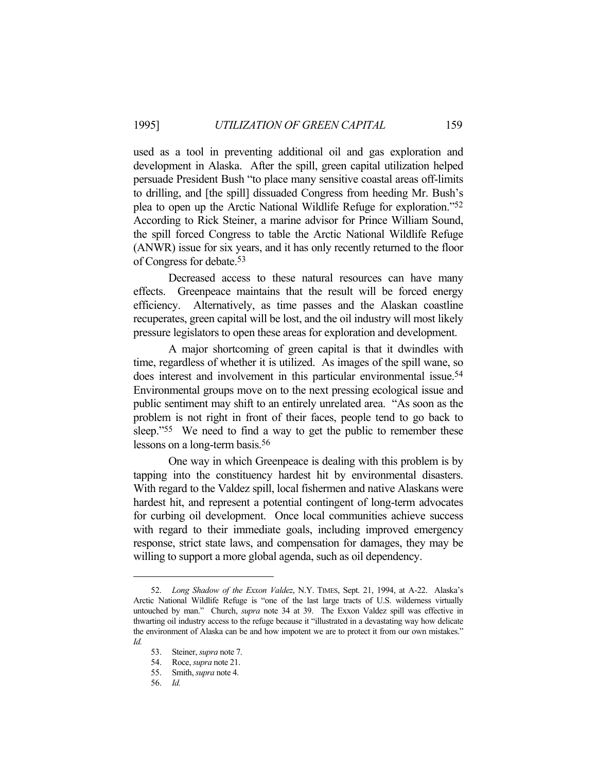used as a tool in preventing additional oil and gas exploration and development in Alaska. After the spill, green capital utilization helped persuade President Bush "to place many sensitive coastal areas off-limits to drilling, and [the spill] dissuaded Congress from heeding Mr. Bush's plea to open up the Arctic National Wildlife Refuge for exploration."52 According to Rick Steiner, a marine advisor for Prince William Sound, the spill forced Congress to table the Arctic National Wildlife Refuge (ANWR) issue for six years, and it has only recently returned to the floor of Congress for debate.53

 Decreased access to these natural resources can have many effects. Greenpeace maintains that the result will be forced energy efficiency. Alternatively, as time passes and the Alaskan coastline recuperates, green capital will be lost, and the oil industry will most likely pressure legislators to open these areas for exploration and development.

 A major shortcoming of green capital is that it dwindles with time, regardless of whether it is utilized. As images of the spill wane, so does interest and involvement in this particular environmental issue.<sup>54</sup> Environmental groups move on to the next pressing ecological issue and public sentiment may shift to an entirely unrelated area. "As soon as the problem is not right in front of their faces, people tend to go back to sleep."<sup>55</sup> We need to find a way to get the public to remember these lessons on a long-term basis.56

 One way in which Greenpeace is dealing with this problem is by tapping into the constituency hardest hit by environmental disasters. With regard to the Valdez spill, local fishermen and native Alaskans were hardest hit, and represent a potential contingent of long-term advocates for curbing oil development. Once local communities achieve success with regard to their immediate goals, including improved emergency response, strict state laws, and compensation for damages, they may be willing to support a more global agenda, such as oil dependency.

 <sup>52.</sup> *Long Shadow of the Exxon Valdez*, N.Y. TIMES, Sept. 21, 1994, at A-22. Alaska's Arctic National Wildlife Refuge is "one of the last large tracts of U.S. wilderness virtually untouched by man." Church, *supra* note 34 at 39. The Exxon Valdez spill was effective in thwarting oil industry access to the refuge because it "illustrated in a devastating way how delicate the environment of Alaska can be and how impotent we are to protect it from our own mistakes." *Id.*

 <sup>53.</sup> Steiner, *supra* note 7.

 <sup>54.</sup> Roce, *supra* note 21.

 <sup>55.</sup> Smith, *supra* note 4.

 <sup>56.</sup> *Id.*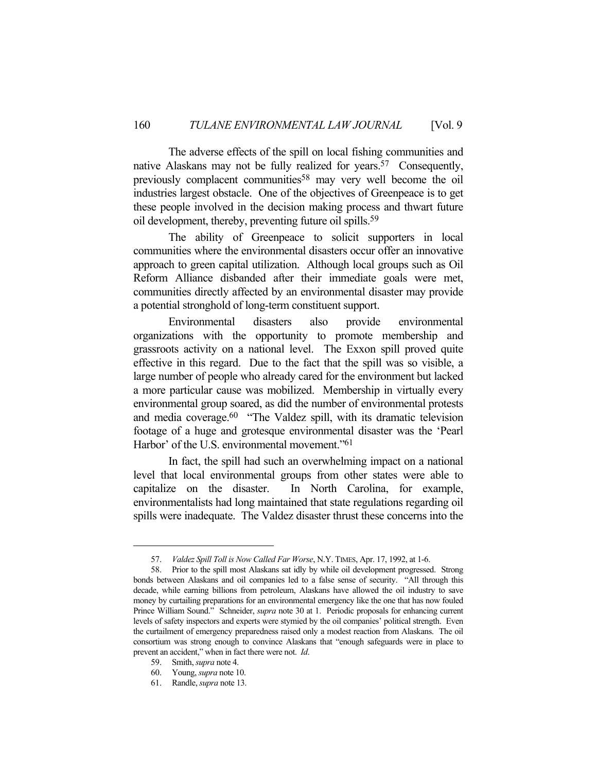The adverse effects of the spill on local fishing communities and native Alaskans may not be fully realized for years.<sup>57</sup> Consequently, previously complacent communities<sup>58</sup> may very well become the oil industries largest obstacle. One of the objectives of Greenpeace is to get these people involved in the decision making process and thwart future oil development, thereby, preventing future oil spills.59

 The ability of Greenpeace to solicit supporters in local communities where the environmental disasters occur offer an innovative approach to green capital utilization. Although local groups such as Oil Reform Alliance disbanded after their immediate goals were met, communities directly affected by an environmental disaster may provide a potential stronghold of long-term constituent support.

 Environmental disasters also provide environmental organizations with the opportunity to promote membership and grassroots activity on a national level. The Exxon spill proved quite effective in this regard. Due to the fact that the spill was so visible, a large number of people who already cared for the environment but lacked a more particular cause was mobilized. Membership in virtually every environmental group soared, as did the number of environmental protests and media coverage.<sup>60</sup> "The Valdez spill, with its dramatic television footage of a huge and grotesque environmental disaster was the 'Pearl Harbor' of the U.S. environmental movement."<sup>61</sup>

 In fact, the spill had such an overwhelming impact on a national level that local environmental groups from other states were able to capitalize on the disaster. In North Carolina, for example, environmentalists had long maintained that state regulations regarding oil spills were inadequate. The Valdez disaster thrust these concerns into the

 <sup>57.</sup> *Valdez Spill Toll is Now Called Far Worse*, N.Y. TIMES, Apr. 17, 1992, at 1-6.

 <sup>58.</sup> Prior to the spill most Alaskans sat idly by while oil development progressed. Strong bonds between Alaskans and oil companies led to a false sense of security. "All through this decade, while earning billions from petroleum, Alaskans have allowed the oil industry to save money by curtailing preparations for an environmental emergency like the one that has now fouled Prince William Sound." Schneider, *supra* note 30 at 1. Periodic proposals for enhancing current levels of safety inspectors and experts were stymied by the oil companies' political strength. Even the curtailment of emergency preparedness raised only a modest reaction from Alaskans. The oil consortium was strong enough to convince Alaskans that "enough safeguards were in place to prevent an accident," when in fact there were not. *Id*.

 <sup>59.</sup> Smith, *supra* note 4.

 <sup>60.</sup> Young, *supra* note 10.

 <sup>61.</sup> Randle, *supra* note 13.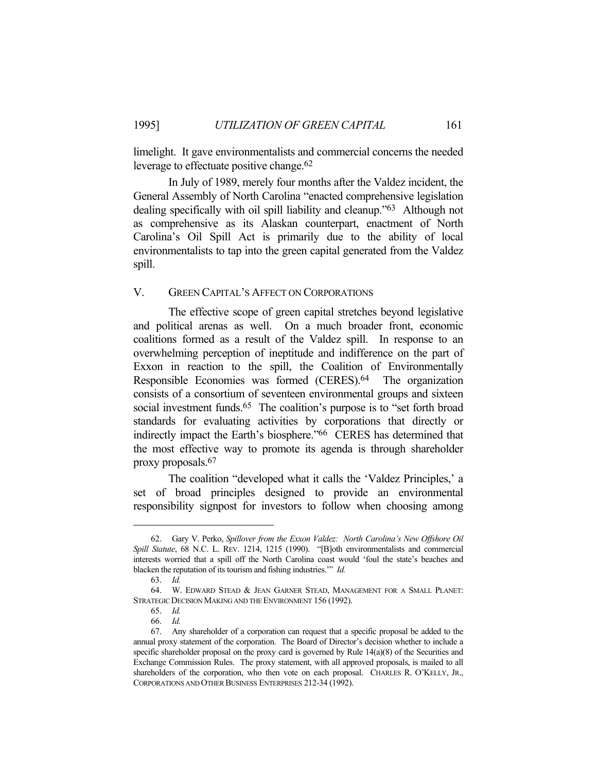limelight. It gave environmentalists and commercial concerns the needed leverage to effectuate positive change.62

 In July of 1989, merely four months after the Valdez incident, the General Assembly of North Carolina "enacted comprehensive legislation dealing specifically with oil spill liability and cleanup."63 Although not as comprehensive as its Alaskan counterpart, enactment of North Carolina's Oil Spill Act is primarily due to the ability of local environmentalists to tap into the green capital generated from the Valdez spill.

#### V. GREEN CAPITAL'S AFFECT ON CORPORATIONS

 The effective scope of green capital stretches beyond legislative and political arenas as well. On a much broader front, economic coalitions formed as a result of the Valdez spill. In response to an overwhelming perception of ineptitude and indifference on the part of Exxon in reaction to the spill, the Coalition of Environmentally Responsible Economies was formed (CERES).64 The organization consists of a consortium of seventeen environmental groups and sixteen social investment funds.<sup>65</sup> The coalition's purpose is to "set forth broad standards for evaluating activities by corporations that directly or indirectly impact the Earth's biosphere."66 CERES has determined that the most effective way to promote its agenda is through shareholder proxy proposals.67

 The coalition "developed what it calls the 'Valdez Principles,' a set of broad principles designed to provide an environmental responsibility signpost for investors to follow when choosing among

 <sup>62.</sup> Gary V. Perko, *Spillover from the Exxon Valdez: North Carolina's New Offshore Oil Spill Statute*, 68 N.C. L. REV. 1214, 1215 (1990). "[B]oth environmentalists and commercial interests worried that a spill off the North Carolina coast would 'foul the state's beaches and blacken the reputation of its tourism and fishing industries.'" *Id.*

 <sup>63.</sup> *Id.*

 <sup>64.</sup> W. EDWARD STEAD & JEAN GARNER STEAD, MANAGEMENT FOR A SMALL PLANET: STRATEGIC DECISION MAKING AND THE ENVIRONMENT 156 (1992).

 <sup>65.</sup> *Id.*

 <sup>66.</sup> *Id.*

 <sup>67.</sup> Any shareholder of a corporation can request that a specific proposal be added to the annual proxy statement of the corporation. The Board of Director's decision whether to include a specific shareholder proposal on the proxy card is governed by Rule 14(a)(8) of the Securities and Exchange Commission Rules. The proxy statement, with all approved proposals, is mailed to all shareholders of the corporation, who then vote on each proposal. CHARLES R. O'KELLY, JR., CORPORATIONS AND OTHER BUSINESS ENTERPRISES 212-34 (1992).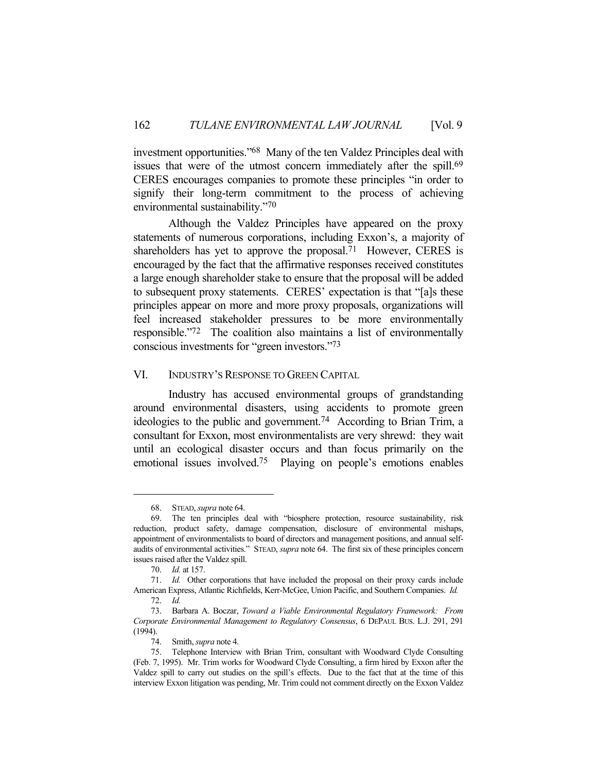investment opportunities."68 Many of the ten Valdez Principles deal with issues that were of the utmost concern immediately after the spill.<sup>69</sup> CERES encourages companies to promote these principles "in order to signify their long-term commitment to the process of achieving environmental sustainability."70

 Although the Valdez Principles have appeared on the proxy statements of numerous corporations, including Exxon's, a majority of shareholders has yet to approve the proposal.<sup>71</sup> However, CERES is encouraged by the fact that the affirmative responses received constitutes a large enough shareholder stake to ensure that the proposal will be added to subsequent proxy statements. CERES' expectation is that "[a]s these principles appear on more and more proxy proposals, organizations will feel increased stakeholder pressures to be more environmentally responsible."72 The coalition also maintains a list of environmentally conscious investments for "green investors."73

## VI. INDUSTRY'S RESPONSE TO GREEN CAPITAL

 Industry has accused environmental groups of grandstanding around environmental disasters, using accidents to promote green ideologies to the public and government.74 According to Brian Trim, a consultant for Exxon, most environmentalists are very shrewd: they wait until an ecological disaster occurs and than focus primarily on the emotional issues involved.75 Playing on people's emotions enables

 <sup>68.</sup> STEAD, *supra* note 64.

 <sup>69.</sup> The ten principles deal with "biosphere protection, resource sustainability, risk reduction, product safety, damage compensation, disclosure of environmental mishaps, appointment of environmentalists to board of directors and management positions, and annual selfaudits of environmental activities." STEAD, *supra* note 64. The first six of these principles concern issues raised after the Valdez spill.

 <sup>70.</sup> *Id.* at 157.

 <sup>71.</sup> *Id.* Other corporations that have included the proposal on their proxy cards include American Express, Atlantic Richfields, Kerr-McGee, Union Pacific, and Southern Companies. *Id.* 72. *Id.*

 <sup>73.</sup> Barbara A. Boczar, *Toward a Viable Environmental Regulatory Framework: From Corporate Environmental Management to Regulatory Consensus*, 6 DEPAUL BUS. L.J. 291, 291 (1994).

 <sup>74.</sup> Smith, *supra* note 4.

 <sup>75.</sup> Telephone Interview with Brian Trim, consultant with Woodward Clyde Consulting (Feb. 7, 1995). Mr. Trim works for Woodward Clyde Consulting, a firm hired by Exxon after the Valdez spill to carry out studies on the spill's effects. Due to the fact that at the time of this interview Exxon litigation was pending, Mr. Trim could not comment directly on the Exxon Valdez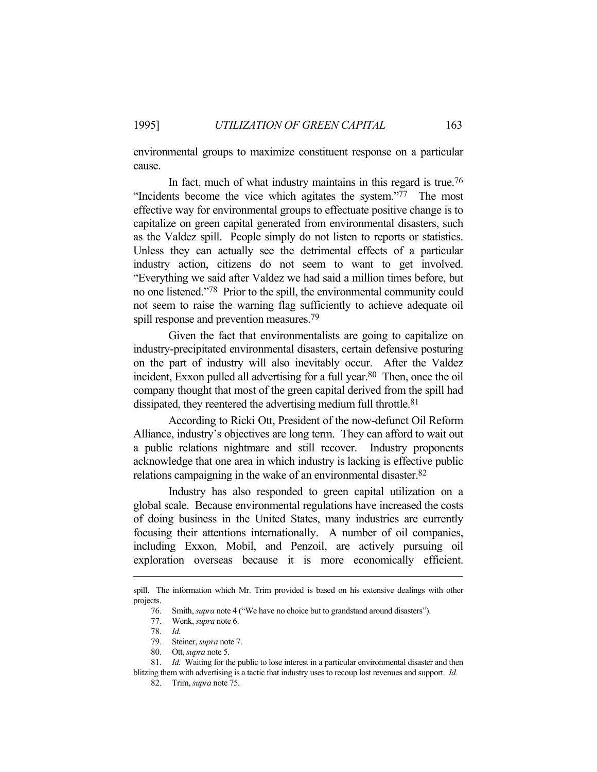environmental groups to maximize constituent response on a particular cause.

In fact, much of what industry maintains in this regard is true.<sup>76</sup> "Incidents become the vice which agitates the system."77 The most effective way for environmental groups to effectuate positive change is to capitalize on green capital generated from environmental disasters, such as the Valdez spill. People simply do not listen to reports or statistics. Unless they can actually see the detrimental effects of a particular industry action, citizens do not seem to want to get involved. "Everything we said after Valdez we had said a million times before, but no one listened."78 Prior to the spill, the environmental community could not seem to raise the warning flag sufficiently to achieve adequate oil spill response and prevention measures.<sup>79</sup>

 Given the fact that environmentalists are going to capitalize on industry-precipitated environmental disasters, certain defensive posturing on the part of industry will also inevitably occur. After the Valdez incident, Exxon pulled all advertising for a full year.<sup>80</sup> Then, once the oil company thought that most of the green capital derived from the spill had dissipated, they reentered the advertising medium full throttle. 81

 According to Ricki Ott, President of the now-defunct Oil Reform Alliance, industry's objectives are long term. They can afford to wait out a public relations nightmare and still recover. Industry proponents acknowledge that one area in which industry is lacking is effective public relations campaigning in the wake of an environmental disaster.82

 Industry has also responded to green capital utilization on a global scale. Because environmental regulations have increased the costs of doing business in the United States, many industries are currently focusing their attentions internationally. A number of oil companies, including Exxon, Mobil, and Penzoil, are actively pursuing oil exploration overseas because it is more economically efficient.

spill. The information which Mr. Trim provided is based on his extensive dealings with other projects.

 <sup>76.</sup> Smith, *supra* note 4 ("We have no choice but to grandstand around disasters").

 <sup>77.</sup> Wenk, *supra* note 6.

 <sup>78.</sup> *Id.*

 <sup>79.</sup> Steiner, *supra* note 7.

 <sup>80.</sup> Ott, *supra* note 5.

 <sup>81.</sup> *Id.* Waiting for the public to lose interest in a particular environmental disaster and then blitzing them with advertising is a tactic that industry uses to recoup lost revenues and support. *Id.*

 <sup>82.</sup> Trim, *supra* note 75.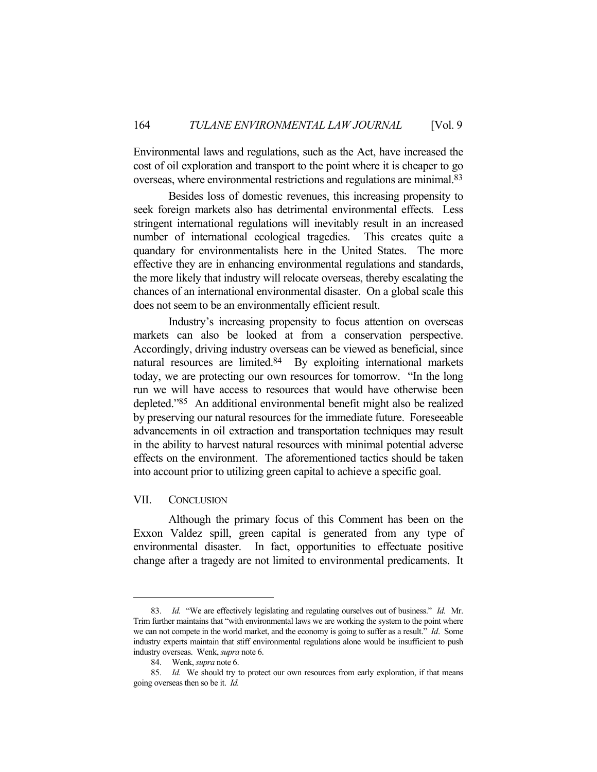Environmental laws and regulations, such as the Act, have increased the cost of oil exploration and transport to the point where it is cheaper to go overseas, where environmental restrictions and regulations are minimal.83

 Besides loss of domestic revenues, this increasing propensity to seek foreign markets also has detrimental environmental effects. Less stringent international regulations will inevitably result in an increased number of international ecological tragedies. This creates quite a quandary for environmentalists here in the United States. The more effective they are in enhancing environmental regulations and standards, the more likely that industry will relocate overseas, thereby escalating the chances of an international environmental disaster. On a global scale this does not seem to be an environmentally efficient result.

 Industry's increasing propensity to focus attention on overseas markets can also be looked at from a conservation perspective. Accordingly, driving industry overseas can be viewed as beneficial, since natural resources are limited.<sup>84</sup> By exploiting international markets today, we are protecting our own resources for tomorrow. "In the long run we will have access to resources that would have otherwise been depleted."85 An additional environmental benefit might also be realized by preserving our natural resources for the immediate future. Foreseeable advancements in oil extraction and transportation techniques may result in the ability to harvest natural resources with minimal potential adverse effects on the environment. The aforementioned tactics should be taken into account prior to utilizing green capital to achieve a specific goal.

#### VII. CONCLUSION

 Although the primary focus of this Comment has been on the Exxon Valdez spill, green capital is generated from any type of environmental disaster. In fact, opportunities to effectuate positive change after a tragedy are not limited to environmental predicaments. It

 <sup>83.</sup> *Id.* "We are effectively legislating and regulating ourselves out of business." *Id.* Mr. Trim further maintains that "with environmental laws we are working the system to the point where we can not compete in the world market, and the economy is going to suffer as a result." *Id*. Some industry experts maintain that stiff environmental regulations alone would be insufficient to push industry overseas. Wenk, *supra* note 6.

 <sup>84.</sup> Wenk, *supra* note 6.

 <sup>85.</sup> *Id.* We should try to protect our own resources from early exploration, if that means going overseas then so be it. *Id.*